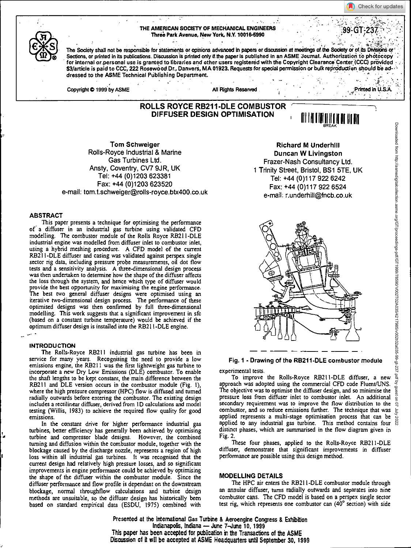Check for updates

Printed in U.S.A.

Downloaded from http://asmedigitalcollection.asme.org/GT/proceedings-pdf/GT1999/78590/V002T02A035/4217985/v002t02a035-99-gt-237.pdf by guest on 07 July 2022

. ... •

99-GT-237

# THE AMERICAN SOCIETY OF MECHANICAL ENGINEERS Three Park Avenue, New York, N.Y. 10016-5990

The Society shall not be responsible for statements or opinions advanced in papers or discussion at meetings of the Society or of its Divisions or Sections, or printed in its publications. Discussion is printed only if the paper is published in an ASME Journal. Authorization to photocopy for internal or personal use is granted to libraries and other users registered with the Copyright Clearance Center (CCC) provided \$3/article is paid to CCC, 222 Rosewood Dr., Danvers, MA 01923. Requests for special permission or bulk reproduction should be ad- .<sup>.</sup><br>. dressed to the ASME Technical Publishing Department.

Copyright  $\bigcirc$  1999 by ASME All Rights Reserved

**ROLLS ROYCE RB21 1 -DLE COMBUSTOR DIFFUSER DESIGN OPTIMISATION AND IN HIS IN 111 11 11 11 11 11 11 11** 

**Tom Schweiger**  Rolls-Royce Industrial & Marine Gas Turbines Ltd. Ansty, Coventry, CV7 9JR, UK Tel: +44 (0)1203 623381 Fax: +44 (0)1203 623520 e-mail: tom.t.schweiger@rolls-royce.btx400.co.uk

# **ABSTRACT**

This paper presents a technique for optimising the performance of a diffuser in an industrial gas turbine using validated CFD modelling. The combustor module of the Rolls Royce R821 I-DLE industrial engine was modelled from diffuser inlet to combustor inlet, using a hybrid meshing procedure. A CFD model of the current R821 1-DLE diffuser and casing was validated against perspex single sector rig data, including pressure probe measurements, oil dot flow tests and a sensitivity analysis. A three-dimensional design process was then undertaken to determine how the shape of the diffuser affects the loss through the system, and hence which type of diffuser would provide the best opportunity for maximising the engine performance. The best two general diffuser designs were optimised using an iterative two-dimensional design process. The performance of these optimised designs was then confirmed by full three-dimensional modelling. This work suggests that a significant improvement in sfc (based on a constant turbine temperature) would be achieved if the optimum diffuser design is installed into the RB211-DLE engine.

# **INTRODUCTION**

The Rolls-Royce RB211 industrial gas turbine has been in service for many years. Recognising the need to provide a low emissions engine, the RB211 was the first lightweight gas turbine to incorporate a new Dry Low Emissions (DLE) combustor. To enable the shaft lengths to be kept constant, the main difference between the RB211 and DLE version occurs in the combustor module (Fig. 1), where the high pressure compressor (HPC) flow is diffused and turned radially outwards before entering the combustor. The existing design includes a rectilinear diffuser, derived from ID calculations and model testing (Willis, 1983) to achieve the required flow quality for good emissions.

In the constant drive for higher performance industrial gas turbines, better efficiency has generally been achieved by optimising turbine and compressor blade designs. However, the combined turning and diffusion within the combustor module, together with the blockage caused by the discharge nozzle, represents a region of high loss within all industrial gas turbines. It was recognised that the current design had relatively high pressure losses, and so significant improvements in engine performance could be achieved by optimising the shape of the diffuser within the combustor module. Since the diffuser performance and flow profile is dependant on the downstream blockage, normal throughflow calculations and turbine design methods are unsuitable, so the diffuser design has historically been based on standard empirical data (ESDU, 1975) combined with

**Richard M Underhill Duncan W Livingston**  Frazer-Nash Consultancy Ltd. 1 Trinity Street, Bristol, BS1 5TE, UK Tel: +44 (0)117 922 6242 Fax: +44 (0)117 922 6524 e-mail: r.underhill@fncb.co.uk



# Fig. 1 - Drawing of the RB211-DLE combustor module

experimental tests.

To improve the Rolls-Royce RB211-DLE diffuser, a new approach was adopted using the commercial CFD code Fluent/UNS. The objective was to optimise the diffuser design, and so minimise the pressure loss from diffuser inlet to combustor inlet. An additional secondary requirement was to improve the flow distribution to the combustor, and so reduce emissions further. The technique that was applied represents a multi-stage optimisation process that can be applied to any industrial gas turbine. This method contains four  $\frac{1}{10}$  distinct phones which are many industrial. This method contains four  $\frac{1}{10}$ distinct phases, which are summarised in the flow diagram given in Fig. 2.

These four phases, applied to the Rolls-Royce RB2II-DLE diffuser, demonstrate that significant improvements in diffuser performance are possible using this design method.

## **MODELLING DETAILS**

The HPC air enters the RB211-DLE combustor module through an annular diffuser, turns radially outwards and separates into nine combustor cans. The CEO model is based on a perspex single sector test rig, which represents one combustor can  $(40^{\circ}$  section) with side

Presented at the International Gas Turbine & Aeroengine Congress & Exhibition Indianapds, Indiana — June 7–June 10, 1999 This paper has been accepted for pubilcation in the Transactions of the ASME Discussion of ft will be accepted at ASME Headquarters tmtil September 30, 1999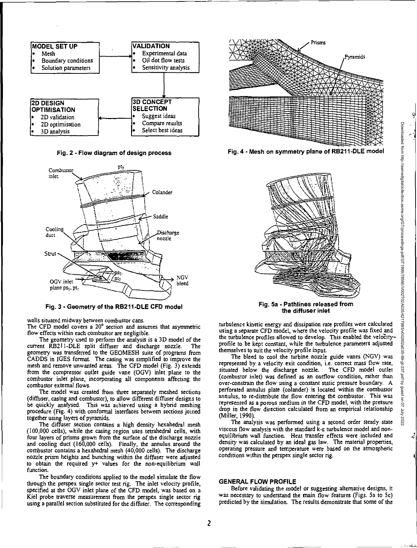

**Fig. 2 - Flow diagram of design process** 



**Fig. 3 - Geometry of the RB211-DLE CFD model** 

walls situated midway between combustor cans.

The CFD model covers a 20° section and assumes that asymmetric flow effects within each combustor are negligible.

The geometry used to perform the analysis is a 3D model of the<br>nt RB211-DLE split diffuser and discharge nozzle. The current RB211-DLE split diffuser and discharge nozzle. geometry was transferred to the GEOMESH suite of programs from CADDS in IGES format. The casing was simplified to improve the mesh and remove unwanted areas. The CFD model (Fig. 3) extends from the compressor outlet guide vane (OGV) inlet plane to the combustor inlet plane, incorporating all components affecting the combustor external flows.

The model was created from three separately meshed sections (diffuser, casing and combustor), to allow different diffuser designs to be quickly analysed. This was achieved using a hybrid meshing procedure (Fig. 4) with conformal interfaces between sections joined together using layers of pyramids.

The diffuser section contains a high density hexahedral mesh (100,000 cells), while the casing region uses tetrahedral cells, with four layers of prisms grown from the surface of the discharge nozzle and cooling duct (160,000 cells). Finally, the annulus around the combustor contains a hexahedral mesh (40,000 cells). The discharge nozzle prism heights and bunching within the diffuser were adjusted to obtain the required y+ values for the non-equilibrium wall function.

The boundary conditions applied to the model simulate the flow through the perspex single sector test rig. The inlet velocity profile, specified at the OGV inlet plane of the CFD model, was based on a Kiel probe traverse measurement from the perspex single sector rig using a parallel section substituted for the diffuser. The corresponding



**Fig. 4 - Mesh on symmetry plane of RB211-DLE model** 



**Fig. 5a - Pathlines released from the diffuser inlet** 

turbulence kinetic energy and dissipation rate profiles were calculated using a separate CFD model, where the velocity profile was fixed and the turbulence profiles allowed to develop. This enabled the velocityprofile to be kept constant, while the turbulence parameters adjusted themselves to suit the velocity profile input.

The bleed to cool the turbine nozzle guide vanes (NGV) was represented by a velocity exit condition, i.e. correct mass flow rate, situated below the discharge nozzle. The CFD model outlet situated below the discharge nozzle. (combustor inlet) was defined as an outflow condition, rather than over-constrain the flow using a constant static pressure boundary. A perforated annulus plate (colander) is located within the combustor annulus, to re-distribute the flow entering the combustor. This was represented as a porous medium in the CFD model, with the pressure drop in the flow direction calculated from an empirical relationship (Miller, 1990).

The analysis was performed using a second order steady state viscous flow analysis with the standard k-c turbulence model and non. equilibrium wall function. Heat transfer effects were included and density was calculated by an ideal gas law. The material properties, operating pressure and temperature were based on the atmospheric conditions within the perspex single sector rig.

# **GENERAL FLOW PROFILE**

Before validating the model or suggesting alternative designs, it was necessary to understand the main flow features (Figs. 5a to 5c) predicted by the simulation. The results demonstrate that some of the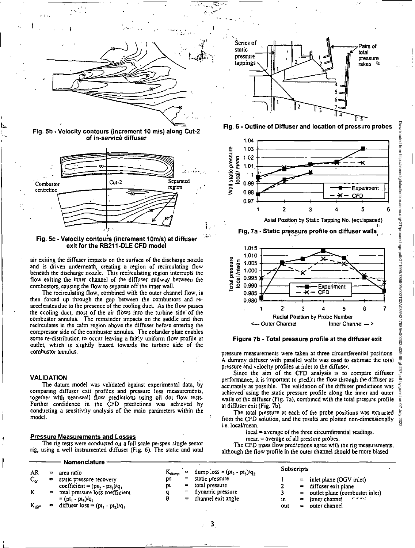





Fig. 5c - Velocity contours (increment 10m/s) at diffuser exit for the RB211-DLE CFD model

### VALIDATION

#### Pressure Measurements and Losses







# Figure 7b - Total pressure profile at the diffuser exit

- local = average of the three circumferential readings.
- mean = average of all pressure probes.

|                                                                                                                                                 | Fig. 6 - Outline of Diffuser and location of pressure probes                                                                                       |
|-------------------------------------------------------------------------------------------------------------------------------------------------|----------------------------------------------------------------------------------------------------------------------------------------------------|
| Fig. 5b - Velocity contours (increment 10 m/s) along Cut-2<br>of in-service diffuser                                                            |                                                                                                                                                    |
|                                                                                                                                                 | 1.04                                                                                                                                               |
|                                                                                                                                                 | Wall static pressure<br>1.03                                                                                                                       |
|                                                                                                                                                 | 1.02<br>⊸≺                                                                                                                                         |
|                                                                                                                                                 | local/mean<br>1.01                                                                                                                                 |
|                                                                                                                                                 |                                                                                                                                                    |
| Separated<br>Cut 2<br>Combustor<br>region                                                                                                       | 0.99<br>Experiment                                                                                                                                 |
| centreline                                                                                                                                      | 0.98<br><b>CFD</b>                                                                                                                                 |
|                                                                                                                                                 | 0.97                                                                                                                                               |
|                                                                                                                                                 | 2<br>3                                                                                                                                             |
|                                                                                                                                                 | Axial Position by Static Tapping No. (equispaced)                                                                                                  |
|                                                                                                                                                 |                                                                                                                                                    |
|                                                                                                                                                 | Fig, 7a - Static pressure profile on diffuser walls                                                                                                |
| Fig. 5c - Velocity contours (increment 10m/s) at diffuser<br>exit for the RB211-DLE CFD model                                                   |                                                                                                                                                    |
|                                                                                                                                                 | 1.015                                                                                                                                              |
| air exiting the diffuser impacts on the surface of the discharge nozzle                                                                         | 1.010<br>1.005                                                                                                                                     |
| and is driven underneath, creating a region of recirculating flow                                                                               | Total pressure<br>local /mean<br>1.000                                                                                                             |
| beneath the discharge nozzle. This recirculating region interrupts the<br>flow exiting the inner channel of the diffuser midway between the     | 999/7890/700/2102/2003<br>0.995                                                                                                                    |
| combustors, causing the flow to separate off the inner wall.                                                                                    | 0.990<br>Experiment                                                                                                                                |
| The recirculating flow, combined with the outer channel flow, is                                                                                | $-$ CFD<br>×.<br>0.985                                                                                                                             |
| then forced up through the gap between the combustors and re-                                                                                   | 0.980                                                                                                                                              |
| accelerates due to the presence of the cooling duct. As the flow passes<br>the cooling duct, most of the air flows into the turbine side of the | 2<br>3                                                                                                                                             |
| combustor annulus. The remainder impacts on the saddle and then                                                                                 | Radial Position by Probe Number                                                                                                                    |
| recirculates in the calm region above the diffuser before entering the                                                                          | <- Outer Channel<br>Inner Channel $-$ >                                                                                                            |
| compressor side of the combustor annulus. The colander plate enables                                                                            |                                                                                                                                                    |
| some re-distribution to occur leaving a fairly uniform flow profile at<br>outlet, which is slightly biased towards the turbine side of the      | Figure 7b - Total pressure profile at the diffuser exit                                                                                            |
| combustor annulus.                                                                                                                              | pressure measurements were taken at three circumferential positions.                                                                               |
|                                                                                                                                                 | A dummy diffuser with parallel walls was used to estimate the total                                                                                |
|                                                                                                                                                 | pressure and velocity profiles at inlet to the diffuser.                                                                                           |
| <b>VALIDATION</b>                                                                                                                               | Since the aim of the CFD analysis is to compare diffuser                                                                                           |
| The datum model was validated against experimental data, by                                                                                     | performance, it is important to predict the flow through the diffuser as<br>accurately as possible. The validation of the diffuser predictions was |
| comparing diffuser exit profiles and pressure loss measurements,                                                                                | achieved using the static pressure profile along the inner and outer                                                                               |
| together with near-wall flow predictions using oil dot flow tests.                                                                              | walls of the diffuser (Fig. 7a), combined with the total pressure profile                                                                          |
| Further confidence in the CFD predictions was achieved by<br>conducting a sensitivity analysis of the main parameters within the                | at diffuser exit (Fig. 7b).                                                                                                                        |
| model.                                                                                                                                          | The total pressure at each of the probe positions was extracted<br>from the CFD solution, and the results are plotted non-dimensionally            |
|                                                                                                                                                 | i.e. local/mean.                                                                                                                                   |
| <b>Pressure Measurements and Losses</b>                                                                                                         | $local = average of the three circumferential readings.$                                                                                           |
| The rig tests were conducted on a full scale perspex single sector                                                                              | $mean = average of all pressure probes.$<br>The CFD mass flow predictions agree with the rig measurements,                                         |
| rig, using a well instrumented diffuser (Fig. 6). The static and total                                                                          | although the flow profile in the outer channel should be more biased                                                                               |
| <b>Nomenclature</b>                                                                                                                             |                                                                                                                                                    |
|                                                                                                                                                 | <b>Subscripts</b>                                                                                                                                  |
| AR<br>$\rm K_{dump}$<br>area ratio<br>$\equiv$<br>static pressure                                                                               | dump $loss = (pt_2 - pt_3)/q_2$                                                                                                                    |
| $C_{\mu\nu}$<br>рs<br>static pressure recovery<br>÷<br>total pressure<br>pt<br>$\equiv$<br>coefficient = $(ps_2 - ps_1)/q_1$                    | inlet plane (OGV inlet)<br>-1<br>$\equiv$<br>2<br>diffuser exit plane<br>=                                                                         |
| K<br>dynamic pressure<br>q<br>$\equiv$<br>total pressure loss coefficient<br>₩                                                                  | 3<br>outlet plane (combustor inlet)<br>≕                                                                                                           |
| θ<br>channel exit angle<br>$= (pt_1 - pt_3)/q_1$                                                                                                | inner channel<br>in.<br>Ξ                                                                                                                          |
| $\rm K_{diff}$<br>diffuser loss = $(pt_1 - pt_2)/q_1$<br>Ξ                                                                                      | outer channel<br>out<br>÷                                                                                                                          |
|                                                                                                                                                 |                                                                                                                                                    |

 $\sim$  3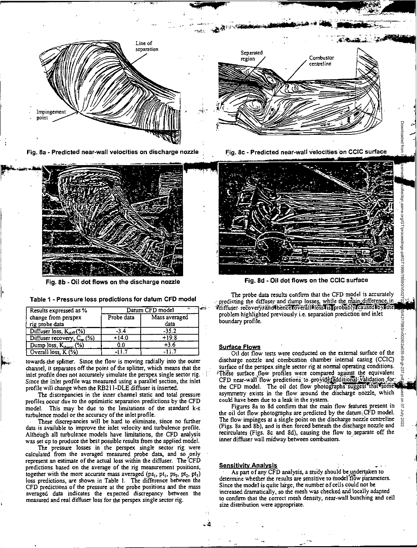

Fig. 8a - Predicted near-wall velocities on discharge nozzle Fig. 8c - Predicted near-wall velocities on CCIC surface



Fig. 8b - Oil dot flows on the discharge nozzle

|  | Table 1 - Pressure loss predictions for datum CFD model |  |
|--|---------------------------------------------------------|--|
|--|---------------------------------------------------------|--|

| Results expressed as %                | control<br>Datum CFD model |                       |  |
|---------------------------------------|----------------------------|-----------------------|--|
| change from perspex<br>rig probe data | Probe data                 | Mass averaged<br>data |  |
| Diffuser loss, $K_{diff}$ (%)         | $-3.4$                     | $-35.2$               |  |
| Diffuser recovery, $C_{rr}$ (%)       | +14.0                      | +19.8                 |  |
| Dump loss, $K_{\text{dump}}$<br>(%)   | 0.0                        | $+3.6$                |  |
| Overall loss, K (%)                   | -11.1                      | -11.7                 |  |

towards the splitter. Since the flow is moving radially into the outer channel, it separates off the point of the splitter, which means that the inlet profile does not accurately simulate the perspex single sector rig. Since the inlet profile was measured using a parallel section, the inlet profile will change when the RB21I-DLE diffuser is inserted.

The discrepancies in the inner channel static and total pressure profiles occur due to the optimistic separation predictions by the CFD model. This may be due to the limitations of the standard k-c turbulence model or the accuracy of the inlet profile.

These discrepancies will be hard to eliminate, since no further data-is available to improve the inlet velocity and turbulence profile. Although all turbulence models have limitations, the CFD analysis was set up to produce the best possible results from the applied model.

The pressure losses in the perspex single sector rig were calculated from the avenged measured probe data, and so ,only represent an estimate of the actual loss within the diffuser. The CFD predictions based on the average of the rig measurement positions, together with the more accurate mass averaged ( $ps<sub>1</sub>$ ,  $pt<sub>1</sub>$ ,  $ps<sub>2</sub>$ ,  $pt<sub>3</sub>$ ) loss predictions, are shown in Table I. The difference between the CFD predictions of the pressure at the probe positions and the mass averaged data indicates the expected discrepancy between the measured and real diffuser loss for the perspex single sector rig.



Fig. 8d - Oil dot flows on the CCIC surface

.org/GT/proceedings-pdf/GT1999/78590/V002T

7985/v002t02a035-99

The probe data results confirm that the CFD model is accurately ... predicting the diffuser and dump losses, while the main difference in Fdiffuser. recovery.sand thence foverall loss its probably caused by the ... problem highlighted previously i.e. separation prediction and inlet boundary profile.

### **Surface Flows**

Oil dot flow tests were conducted on the external surface of the discharge nozzle and combustion chamber internal casing (CCIC) surface of the perspex single sector rig at normal operating conditions. .'Fll'ese surface ,flow profiles.were compared against the equivalent CFD near-wall flow predictions to provide fadditional validation for the CFD model. The oil dot flow photographs suggest that some asymmetry exists in the flow around the discharge nozzle, which could have been due to a leak in the system.

Figures 8a to 8d confirm that the main flow features present in the oil dot flow photographs are predicted by the datum,CFD model. The flow impinges at a single point on the discharge nozzle centreline (Figs. 8a and 8b), and is then forced beneath the discharge nozzle and recirculates (Figs. 8c and 8d), causing the flow to separate off the inner diffuser wall midway between combustors.

#### **Sensitivity Analysis**

As part of any CFD analysis, a study should be undertaken to determine whether the results are sensitive to model flow parameters. Since the model is quite large, the number of cells could not be increased dramatically, so the mesh was checked arid locally adapted to confirm that the correct mesh density, near-wall bunching and cell size distribution were appropriate.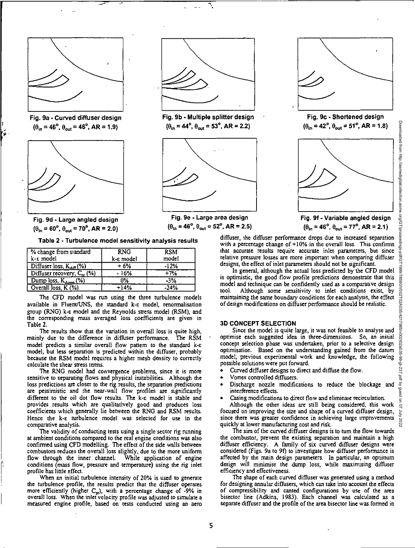

 $(\theta_{in} = 46^{\circ}, \theta_{out} = 46^{\circ}, AR = 1.9)$ 



**Fig. 9d - Large angled design**   $(\theta_{\text{in}} = 60^{\circ}, \theta_{\text{out}} = 70^{\circ}, AR = 2.0)$ 

**Table 2 - Turbulence model sensitivity analysis results** 

| % change from siandard          | <b>RNG</b> | <b>RSM</b> |
|---------------------------------|------------|------------|
| k-ε model                       | k-ε model  | model      |
| Diffuser loss, $K_{diff}$ (%)   | $+6%$      | $-12%$     |
| Diffuser recovery, $C_{rr}$ (%) | $-16%$     | $+7%$      |
| Dump loss, $K_{dump}$ (%)       | 0%         | $-3%$      |
| Overall loss, $K(\%)$           | +14%       | $-24%$     |

The CFD model was run using the three turbulence models available in Fluent/UNS, the standard k-E model, renormalisation group (RNG) k-E model and the Reynolds stress model (RSM), and the corresponding mass averaged loss coefficients are given in Table 2.

The results show that the variation in overall loss is quite high, mainly due to the difference in diffuser performance. The RSM model predicts a similar overall flow pattern to the standard k-E model, but less separation is predicted within the diffuser, probably because the RSM model requires a higher mesh density to correctly calculate the shear stress terms.

The RNG model had convergence problems, since it is more sensitive to separating flows and physical instabilities. Although the loss predictions are closer to the rig results, the separation predictions are pessimistic and the near-wall flow profiles are significantly different to the oil dot flow results. The k-e model is stable and provides results which are qualitatively good and produces loss coefficients which generally lie between the RNG and RSM results. Hence the k-E turbulence model was selected for use in the comparative analysis.

The validity of conducting tests using a single sector rig running at ambient conditions compared to the real engine conditions was also confirmed using CFD modelling. The effect of the side walls between combustors reduces the overall loss slightly, due to the more uniform<br>flow through the inner channel. While application of engine While application of engine conditions (mass flow, pressure and temperature) using the rig inlet profile has little effect.

When an initial turbulence intensity of 20% is used to generate the turbulence profile, the results predict that the diffuser operates more efficiently (higher  $C_m$ ), with a percentage change of -9% in overall loss. When the inlet velocity profile was adjusted to simulate a measured engine profile, based on tests conducted using an aero



Fig. 9a - Curved diffuser design **Fig. 9b - Multiple splitter design**  $= 44^{\circ}, \theta_{\text{out}} = 53^{\circ}, AR = 2.2$ 



**Fig. 9e - Large area design Fig. 9f - Variable angled design**  $(\theta_{1n} = 46^{\circ}, \theta_{out} = 52^{\circ}, AR = 2.5)$  $(\theta_{1n} = 46^{\circ}, \theta_{out} = 77^{\circ}, AR = 2.1)$  $(\theta_{10} = 46^\circ, \theta_{\text{out}} = 77^\circ, \text{ AR} = 2.1)$ diffuser, the diffuser performance drops due to increased separation

with a percentage change of +10% in the overall loss. This confirms that accurate results require accurate inlet parameters, but since relative pressure losses are more important when comparing diffuser designs, the effect of inlet parameters should not be significant.

**Fig. 9c - Shortened design**   $(\theta_{in} = 42^{\circ}, \theta_{out} = 51^{\circ}, AR = 1.8)$ 

In general, although the actual loss predicted by the CFD model is optimistic, the good flow profile predictions demonstrate that this model and technique can be confidently used as a comparative design tool. Although some sensitivity to inlet conditions exist. by Although some sensitivity to inlet conditions exist, by maintaining the same boundary conditions for each analysis, the effect of design modifications on diffuser performance should be realistic.

# **3D CONCEPT SELECTION**

Since the model is quite large, it was not feasible to analyse and optimise each suggested idea in three-dimensions. So, an initial concept selection phase was undertaken, prior to a selective design optimisation. Based on the understanding gained from the datum model, previous experimental work and knowledge, the following possible solutions were put forward.

- Curved diffuser designs to direct and diffuse the flow.
- Vortex controlled diffusers.
- Discharge nozzle modifications to reduce the blockage and interference effects.
- Casing modifications to direct flow and eliminate recirculation.

Although the other ideas are still being considered, this work focused on improving the size and shape of a curved diffuser design, since there was greater confidence in achieving large improvements quickly at lower manufacturing cost and risk.

The aim of the curved diffuser designs is to turn the flow towards the combustor, prevent the existing separation and maintain a high diffuser efficiency. A family of six curved diffuser designs were considered (Figs. 9a to 91) to investigate how diffuser performance is affected by the main design parameters. In particular, an optimum design will minimise the dump loss, while maximising diffuser efficiency and effectiveness.

The shape of each curved diffuser was generated using a method for designing annular diffusers, which can take into account the effects of compressibility and canted configurations by use of the area bisector line (Adkins, 1983). Each channel was calculated as a separate diffuser and the profile of the area bisector line was formed in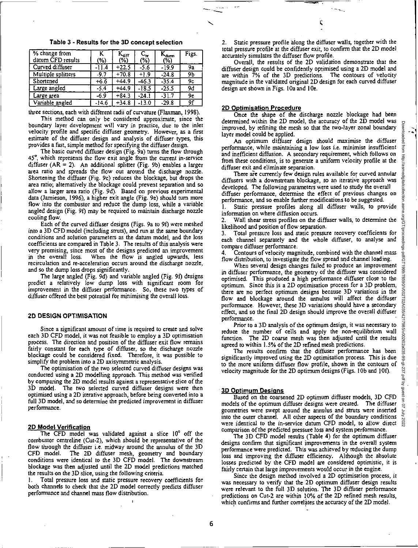| % change from<br>datum CFD results | (%)     | $K_{diff}$<br>(%) | $\mathtt{C}_{\mathsf{rx}}$<br>$\sqrt[6]{6}$ | Ւ <sub>ասπ</sub> ո<br>(%) | Figs. |
|------------------------------------|---------|-------------------|---------------------------------------------|---------------------------|-------|
| Curved diffuser                    | -11.4   | $+22.5$           | $-5.6$                                      | $-19.9$                   | 9а    |
| Multiple splitters                 | $-9.7$  | $+70.8$           | $+1.9$                                      | $-24.8$                   | 9Ь    |
| Shortened                          | $+6.6$  | $+44.9$           | $-46.3$                                     | $-35.4$                   | 9c    |
| Large angled                       | $-5.4$  | $+44.9$           | $-18.5$                                     | $-25.5$                   | 9d    |
| Large area                         | $-6.9$  | $+84.3$           | $-24.1$                                     | $-31.7$                   | 9e    |
| Variable angled                    | $-14.6$ | $+34.8$           | $-13.0$                                     | $-29.8$                   | 9f    |

Table 3 - Results for the 3D concept selection

three sections, each with different radii of curvature (Flaxman, 1998).

This method can only be considered approximate, since the boundary layer development will vary in practice, due to the inlet velocity profile and specific diffuser geometry. However, as a first estimate of the diffuser design and analysis of diffuser types, this provides a fast, simple method for specifying the diffuser design.

The basic curved diffuser design (Fig. 9a) turns the flow through 45°, which represents the flow exit angle from the current in-service diffuser (AR = 2). An additional splitter (Fig. 9b) enables a larger area ratio and spreads the flow out around the discharge nozzle. Shortening the diffuser (Fig. 9c) reduces the blockage, but drops the area ratio; alternatively the blockage could prevent separation and so allow a larger area ratio (Fig. 9d). Based on previous experimental data (Jamieson, 1996), a higher exit angle (Fig. 9e) should turn more flow into the combustor and reduce the dump loss, while a variable angled design (Fig. 91) may be required to maintain discharge nozzle cooling flow.

Each of the curved diffuser designs (Figs. 9a to 91) were meshed into a 3D CFD model (including struts), and run at the same boundary conditions and solution parameters as the datum model, and the loss coefficients are compared in Table 3. The results of this analysis were very promising, since most of the designs predicted an improvement in the overall loss. When the flow is angled upwards, less recirculation and re-acceleration occurs around the discharge nozzle, and so the dump loss drops significantly.

The large angled (Fig. 9d) and variable angled (Fig. 91) designs predict a relatively low dump loss with significant room for improvement in the diffuser performance. So, these two types of diffuser offered the best potential for minimising the overall loss.

### 20 DESIGN OPTIMISATION

Since a significant amount of time is required to create and solve each 3D CFD model, it was not feasible to employ a 3D optimisation process. The direction and position of the diffuser exit flow remains fairly constant for each type of diffuser, so the discharge nozzle blockage could be considered fixed. Therefore, it was possible to simplify the problem into a 2D axisymmetric analysis.

The optimisation of the two selected curved diffuser designs was conducted using a 2D modelling approach. This method was verified by comparing the 2D model results against a representative slice of the 3D model. The two selected curved diffuser designs were then optimised using a 2D iterative approach, before being converted into a full 3D model, and so determine the predicted improvement in diffuser performance.

#### 2D Model Verification

The CFD model was validated against a slice  $10^{\circ}$  off the combustor centreline (Cut-2), which should *be* representative of the flow through the diffuser i.e. midway around the annulus of the 3D CFD model. The 2D diffuser mesh, geometry and boundary conditions were identical to the 3D CFD model. The downstream blockage was then adjusted until the 2D model predictions matched the results on the 3D slice, using the following criteria.

I. Total pressure loss and static pressure recovery coefficients for both channels to check that the 2D model correctly predicts diffuser performance and channel mass flow distribution.

2. Static pressure profile along the diffuser walls, together with the total pressure profile at the diffuser exit, to confirm that the 2D model accurately simulates the diffuser flow profile.

¢

Overall, the results of the 2D validation demonstrate that the diffuser design could be confidently optimised using a 2D model and are within 7% of the 3D predictions. The contours of velocity magnitude in the validated original 2D design for each curved diffuser design are shown in Figs. 10a and 10e.

# 20 Optimisation Procedure

Once the shape of the discharge nozzle blockage had been determined within the 2D model, the accuracy of the 2D model was improved, by refining the mesh so that the two-layer zonal boundary layer model could be applied.

An optimum diffuser design should maximise the diffuser performance, while maintaining a low loss i.e. minimise insufficient and inefficient diffusion. A secondary requirement, which follows on from these conditions, is to generate a uniform velocity profile at the diffuser exit and eliminate separation.

There are currently few design rules available for curved annular diffusers with a downstream blockage, so an iterative approach was developed. The following parameters were used to study the overall diffuser performance, determine the effect of previous changes on

performance, and so enable further modifications to be suggested. I. Static pressure profiles along all diffuser walls, to provide

information on where diffusion occurs.

2. Wall shear stress profiles on the diffuser walls, to determine the likelihood and position of flow separation.

3. Total pressure loss and static pressure recovery coefficients for each channel separately and the whole diffuser, to analyse and compare diffuser performance,

4. Contours of velocity magnitude, combined with the channel mass flow distribution, to investigate the flow spread and channel loading.

When several design changes failed to produce an improvement in diffuser performance, the geometry of the diffuser was considered optimised. This produced a high performance diffuser close to the optimum. Since this is a 20 optimisation process for a 3D problem, there are no perfect optimum designs because 3D variations in the flow and blockage around the annulus will affect the diffuser performance. However, these 3D variations should have a secondary effect, and so the final 2D design should improve the overall diffuser performance.

Prior to a 3D analysis of the optimum design, it was necessary to reduce the number of cells and apply the non-equilibrium wall function. The 2D coarse mesh was then adjusted until the results agreed to within 1.5% of the 2D refined mesh predictions.

The results confirm that the diffuser performance has been significantly improved using the 2D optimisation process. This is due to the more uniform diffuser flow profile, shown in the contours of velocity magnitude for the 2D optimum designs (Figs. 10b and 10f).

### 3D Optimum Designs

Based on the coarsened 20 optimum diffuser models, 3D CFD models of the optimum diffuser designs were created. The diffuser geometries were swept around the annulus and struts were inserted into the outer channel. All other aspects of the boundary conditions were identical to the in-service datum CFD model, to allow direct comparison of the predicted pressure loss and system performance.

The 3D CFD model results (Table 4) for the optimum diffuser designs confirm that significant improvements in the overall system performance were predicted. This was achieved by reducing the dump loss and improving the diffuser efficiency. Although the absolute losses predicted by the CFD model are considered optimistic, it is fairly certain that large improvements would occur in the engine.

Since the design method involved a 2D optimisation process, it was necessary to verify that the 2D optimum diffuser design results were relevant to the full 3D solution. The 3D diffuser performance predictions on Cut-2 are within 10% of the 2D refined mesh results, which confirms and further correlates the accuracy of the 2D model.

g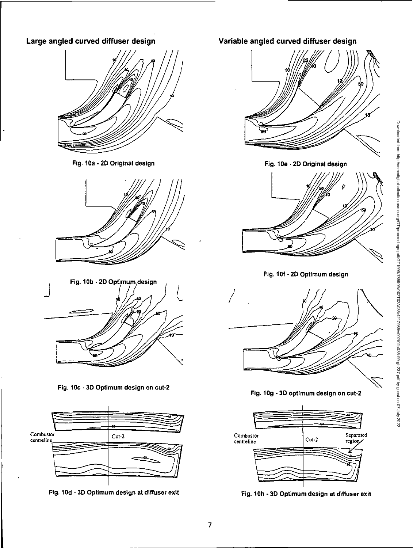

**7**